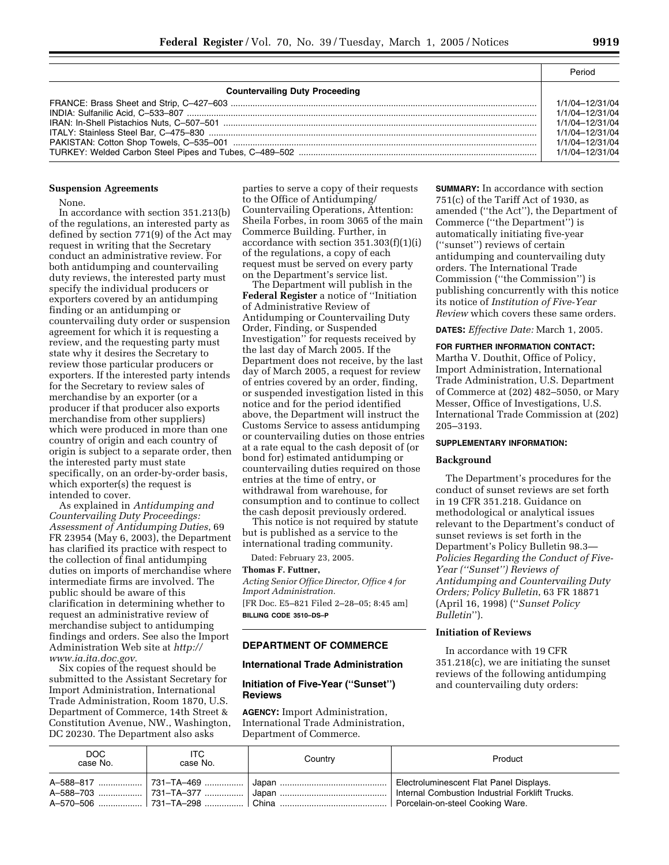| M.<br>۰. | ×<br>۰. | -- | M. |
|----------|---------|----|----|

|                                       | Period                                                                                                         |  |
|---------------------------------------|----------------------------------------------------------------------------------------------------------------|--|
| <b>Countervailing Duty Proceeding</b> |                                                                                                                |  |
|                                       | 1/1/04-12/31/04<br>1/1/04-12/31/04<br>1/1/04-12/31/04<br>1/1/04-12/31/04<br>1/1/04-12/31/04<br>1/1/04-12/31/04 |  |

#### **Suspension Agreements**

None.

In accordance with section 351.213(b) of the regulations, an interested party as defined by section 771(9) of the Act may request in writing that the Secretary conduct an administrative review. For both antidumping and countervailing duty reviews, the interested party must specify the individual producers or exporters covered by an antidumping finding or an antidumping or countervailing duty order or suspension agreement for which it is requesting a review, and the requesting party must state why it desires the Secretary to review those particular producers or exporters. If the interested party intends for the Secretary to review sales of merchandise by an exporter (or a producer if that producer also exports merchandise from other suppliers) which were produced in more than one country of origin and each country of origin is subject to a separate order, then the interested party must state specifically, on an order-by-order basis, which exporter(s) the request is intended to cover.

As explained in *Antidumping and Countervailing Duty Proceedings: Assessment of Antidumping Duties*, 69 FR 23954 (May 6, 2003), the Department has clarified its practice with respect to the collection of final antidumping duties on imports of merchandise where intermediate firms are involved. The public should be aware of this clarification in determining whether to request an administrative review of merchandise subject to antidumping findings and orders. See also the Import Administration Web site at *http:// www.ia.ita.doc.gov*.

Six copies of the request should be submitted to the Assistant Secretary for Import Administration, International Trade Administration, Room 1870, U.S. Department of Commerce, 14th Street & Constitution Avenue, NW., Washington, DC 20230. The Department also asks

parties to serve a copy of their requests to the Office of Antidumping/ Countervailing Operations, Attention: Sheila Forbes, in room 3065 of the main Commerce Building. Further, in accordance with section 351.303(f)(1)(i) of the regulations, a copy of each request must be served on every party on the Department's service list.

The Department will publish in the **Federal Register** a notice of ''Initiation of Administrative Review of Antidumping or Countervailing Duty Order, Finding, or Suspended Investigation'' for requests received by the last day of March 2005. If the Department does not receive, by the last day of March 2005, a request for review of entries covered by an order, finding, or suspended investigation listed in this notice and for the period identified above, the Department will instruct the Customs Service to assess antidumping or countervailing duties on those entries at a rate equal to the cash deposit of (or bond for) estimated antidumping or countervailing duties required on those entries at the time of entry, or withdrawal from warehouse, for consumption and to continue to collect the cash deposit previously ordered.

This notice is not required by statute but is published as a service to the international trading community.

Dated: February 23, 2005.

# **Thomas F. Futtner,**

*Acting Senior Office Director, Office 4 for Import Administration.* [FR Doc. E5–821 Filed 2–28–05; 8:45 am] **BILLING CODE 3510–DS–P**

### **DEPARTMENT OF COMMERCE**

### **International Trade Administration**

# **Initiation of Five-Year (''Sunset'') Reviews**

**AGENCY:** Import Administration, International Trade Administration, Department of Commerce.

**SUMMARY:** In accordance with section 751(c) of the Tariff Act of 1930, as amended (''the Act''), the Department of Commerce (''the Department'') is automatically initiating five-year (''sunset'') reviews of certain antidumping and countervailing duty orders. The International Trade Commission (''the Commission'') is publishing concurrently with this notice its notice of *Institution of Five-Year Review* which covers these same orders.

**DATES:** *Effective Date:* March 1, 2005.

# **FOR FURTHER INFORMATION CONTACT:**

Martha V. Douthit, Office of Policy, Import Administration, International Trade Administration, U.S. Department of Commerce at (202) 482–5050, or Mary Messer, Office of Investigations, U.S. International Trade Commission at (202) 205–3193.

### **SUPPLEMENTARY INFORMATION:**

#### **Background**

The Department's procedures for the conduct of sunset reviews are set forth in 19 CFR 351.218. Guidance on methodological or analytical issues relevant to the Department's conduct of sunset reviews is set forth in the Department's Policy Bulletin 98.3— *Policies Regarding the Conduct of Five-Year (''Sunset'') Reviews of Antidumping and Countervailing Duty Orders; Policy Bulletin*, 63 FR 18871 (April 16, 1998) (''*Sunset Policy Bulletin*'').

# **Initiation of Reviews**

In accordance with 19 CFR 351.218(c), we are initiating the sunset reviews of the following antidumping and countervailing duty orders:

| DOC<br>case No. | ITC.<br>case No. | Country | Product |
|-----------------|------------------|---------|---------|
|                 |                  |         |         |
|                 |                  |         |         |